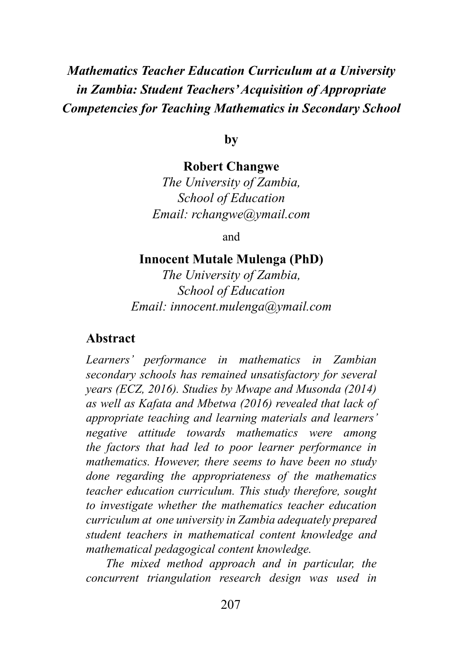# *Mathematics Teacher Education Curriculum at a University in Zambia: Student Teachers' Acquisition of Appropriate Competencies for Teaching Mathematics in Secondary School*

**by**

#### **Robert Changwe**

*The University of Zambia, School of Education Email: rchangwe@ymail.com*

and

#### **Innocent Mutale Mulenga (PhD)**

*The University of Zambia, School of Education Email: innocent.mulenga@ymail.com*

#### **Abstract**

*Learners' performance in mathematics in Zambian secondary schools has remained unsatisfactory for several years (ECZ, 2016). Studies by Mwape and Musonda (2014) as well as Kafata and Mbetwa (2016) revealed that lack of appropriate teaching and learning materials and learners' negative attitude towards mathematics were among the factors that had led to poor learner performance in mathematics. However, there seems to have been no study done regarding the appropriateness of the mathematics teacher education curriculum. This study therefore, sought to investigate whether the mathematics teacher education curriculum at one university in Zambia adequately prepared student teachers in mathematical content knowledge and mathematical pedagogical content knowledge.*

*The mixed method approach and in particular, the concurrent triangulation research design was used in*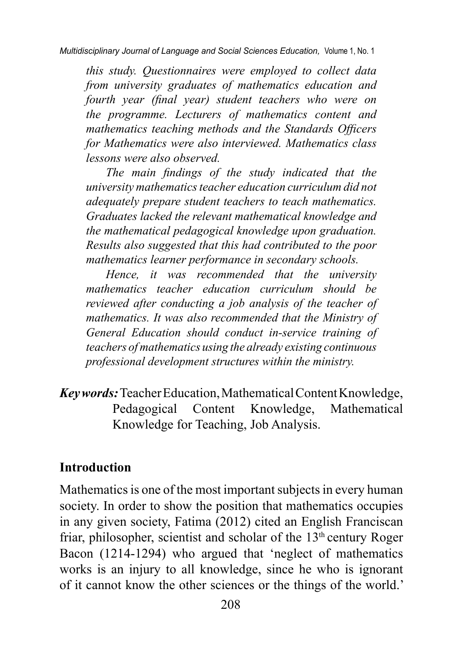*this study. Questionnaires were employed to collect data from university graduates of mathematics education and fourth year (final year) student teachers who were on the programme. Lecturers of mathematics content and mathematics teaching methods and the Standards Officers for Mathematics were also interviewed. Mathematics class lessons were also observed.*

*The main findings of the study indicated that the university mathematics teacher education curriculum did not adequately prepare student teachers to teach mathematics. Graduates lacked the relevant mathematical knowledge and the mathematical pedagogical knowledge upon graduation. Results also suggested that this had contributed to the poor mathematics learner performance in secondary schools.*

*Hence, it was recommended that the university mathematics teacher education curriculum should be reviewed after conducting a job analysis of the teacher of mathematics. It was also recommended that the Ministry of General Education should conduct in-service training of teachers of mathematics using the already existing continuous professional development structures within the ministry.*

### *Key words:* Teacher Education, Mathematical Content Knowledge, Pedagogical Content Knowledge, Mathematical Knowledge for Teaching, Job Analysis.

### **Introduction**

Mathematics is one of the most important subjects in every human society. In order to show the position that mathematics occupies in any given society, Fatima (2012) cited an English Franciscan friar, philosopher, scientist and scholar of the  $13<sup>th</sup>$  century Roger Bacon (1214-1294) who argued that 'neglect of mathematics works is an injury to all knowledge, since he who is ignorant of it cannot know the other sciences or the things of the world.'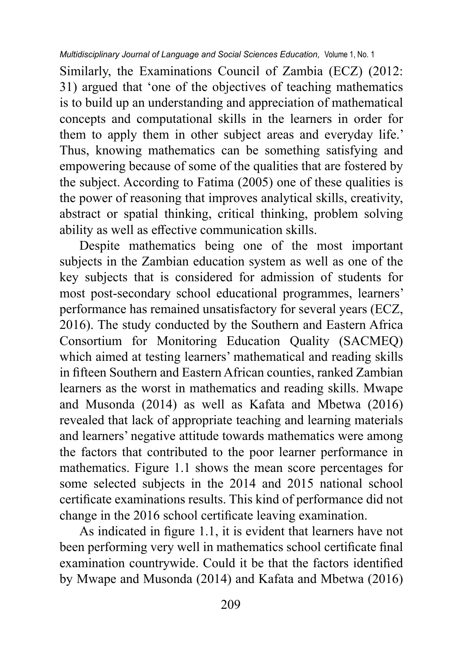Similarly, the Examinations Council of Zambia (ECZ) (2012: 31) argued that 'one of the objectives of teaching mathematics is to build up an understanding and appreciation of mathematical concepts and computational skills in the learners in order for them to apply them in other subject areas and everyday life.' Thus, knowing mathematics can be something satisfying and empowering because of some of the qualities that are fostered by the subject. According to Fatima (2005) one of these qualities is the power of reasoning that improves analytical skills, creativity, abstract or spatial thinking, critical thinking, problem solving ability as well as effective communication skills.

Despite mathematics being one of the most important subjects in the Zambian education system as well as one of the key subjects that is considered for admission of students for most post-secondary school educational programmes, learners' performance has remained unsatisfactory for several years (ECZ, 2016). The study conducted by the Southern and Eastern Africa Consortium for Monitoring Education Quality (SACMEQ) which aimed at testing learners' mathematical and reading skills in fifteen Southern and Eastern African counties, ranked Zambian learners as the worst in mathematics and reading skills. Mwape and Musonda (2014) as well as Kafata and Mbetwa (2016) revealed that lack of appropriate teaching and learning materials and learners' negative attitude towards mathematics were among the factors that contributed to the poor learner performance in mathematics. Figure 1.1 shows the mean score percentages for some selected subjects in the 2014 and 2015 national school certificate examinations results. This kind of performance did not change in the 2016 school certificate leaving examination.

As indicated in figure 1.1, it is evident that learners have not been performing very well in mathematics school certificate final examination countrywide. Could it be that the factors identified by Mwape and Musonda (2014) and Kafata and Mbetwa (2016)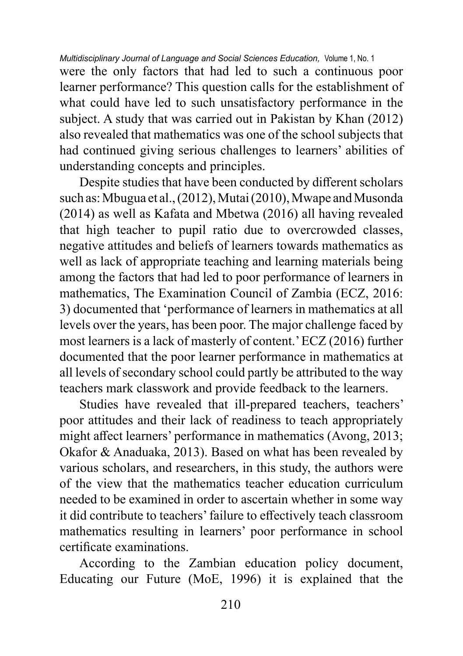were the only factors that had led to such a continuous poor learner performance? This question calls for the establishment of what could have led to such unsatisfactory performance in the subject. A study that was carried out in Pakistan by Khan (2012) also revealed that mathematics was one of the school subjects that had continued giving serious challenges to learners' abilities of understanding concepts and principles.

Despite studies that have been conducted by different scholars such as: Mbugua et al., (2012), Mutai (2010), Mwape and Musonda (2014) as well as Kafata and Mbetwa (2016) all having revealed that high teacher to pupil ratio due to overcrowded classes, negative attitudes and beliefs of learners towards mathematics as well as lack of appropriate teaching and learning materials being among the factors that had led to poor performance of learners in mathematics, The Examination Council of Zambia (ECZ, 2016: 3) documented that 'performance of learners in mathematics at all levels over the years, has been poor. The major challenge faced by most learners is a lack of masterly of content.' ECZ (2016) further documented that the poor learner performance in mathematics at all levels of secondary school could partly be attributed to the way teachers mark classwork and provide feedback to the learners.

Studies have revealed that ill-prepared teachers, teachers' poor attitudes and their lack of readiness to teach appropriately might affect learners' performance in mathematics (Avong, 2013; Okafor & Anaduaka, 2013). Based on what has been revealed by various scholars, and researchers, in this study, the authors were of the view that the mathematics teacher education curriculum needed to be examined in order to ascertain whether in some way it did contribute to teachers' failure to effectively teach classroom mathematics resulting in learners' poor performance in school certificate examinations.

According to the Zambian education policy document, Educating our Future (MoE, 1996) it is explained that the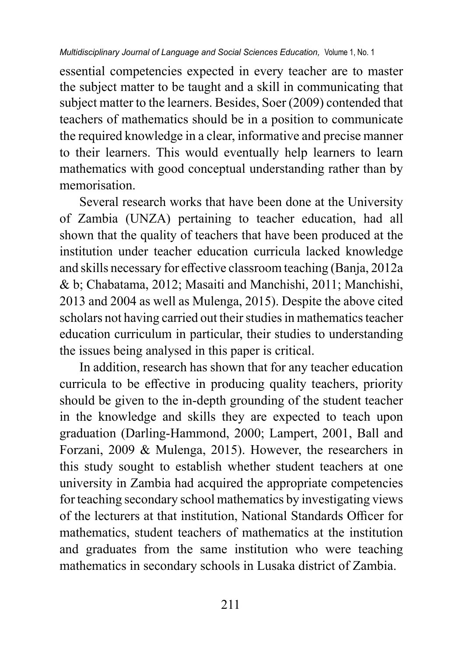essential competencies expected in every teacher are to master the subject matter to be taught and a skill in communicating that subject matter to the learners. Besides, Soer (2009) contended that teachers of mathematics should be in a position to communicate the required knowledge in a clear, informative and precise manner to their learners. This would eventually help learners to learn mathematics with good conceptual understanding rather than by memorisation.

Several research works that have been done at the University of Zambia (UNZA) pertaining to teacher education, had all shown that the quality of teachers that have been produced at the institution under teacher education curricula lacked knowledge and skills necessary for effective classroom teaching (Banja, 2012a & b; Chabatama, 2012; Masaiti and Manchishi, 2011; Manchishi, 2013 and 2004 as well as Mulenga, 2015). Despite the above cited scholars not having carried out their studies in mathematics teacher education curriculum in particular, their studies to understanding the issues being analysed in this paper is critical.

In addition, research has shown that for any teacher education curricula to be effective in producing quality teachers, priority should be given to the in-depth grounding of the student teacher in the knowledge and skills they are expected to teach upon graduation (Darling-Hammond, 2000; Lampert, 2001, Ball and Forzani, 2009 & Mulenga, 2015). However, the researchers in this study sought to establish whether student teachers at one university in Zambia had acquired the appropriate competencies for teaching secondary school mathematics by investigating views of the lecturers at that institution, National Standards Officer for mathematics, student teachers of mathematics at the institution and graduates from the same institution who were teaching mathematics in secondary schools in Lusaka district of Zambia.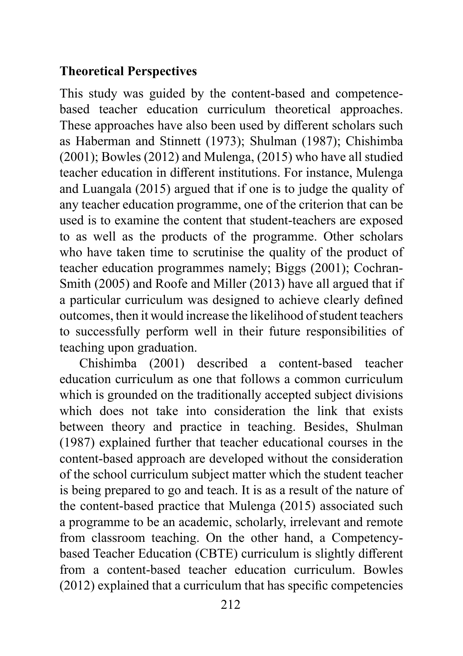## **Theoretical Perspectives**

This study was guided by the content-based and competencebased teacher education curriculum theoretical approaches. These approaches have also been used by different scholars such as Haberman and Stinnett (1973); Shulman (1987); Chishimba (2001); Bowles (2012) and Mulenga, (2015) who have all studied teacher education in different institutions. For instance, Mulenga and Luangala (2015) argued that if one is to judge the quality of any teacher education programme, one of the criterion that can be used is to examine the content that student-teachers are exposed to as well as the products of the programme. Other scholars who have taken time to scrutinise the quality of the product of teacher education programmes namely; Biggs (2001); Cochran-Smith (2005) and Roofe and Miller (2013) have all argued that if a particular curriculum was designed to achieve clearly defined outcomes, then it would increase the likelihood of student teachers to successfully perform well in their future responsibilities of teaching upon graduation.

Chishimba (2001) described a content-based teacher education curriculum as one that follows a common curriculum which is grounded on the traditionally accepted subject divisions which does not take into consideration the link that exists between theory and practice in teaching. Besides, Shulman (1987) explained further that teacher educational courses in the content-based approach are developed without the consideration of the school curriculum subject matter which the student teacher is being prepared to go and teach. It is as a result of the nature of the content-based practice that Mulenga (2015) associated such a programme to be an academic, scholarly, irrelevant and remote from classroom teaching. On the other hand, a Competencybased Teacher Education (CBTE) curriculum is slightly different from a content-based teacher education curriculum. Bowles (2012) explained that a curriculum that has specific competencies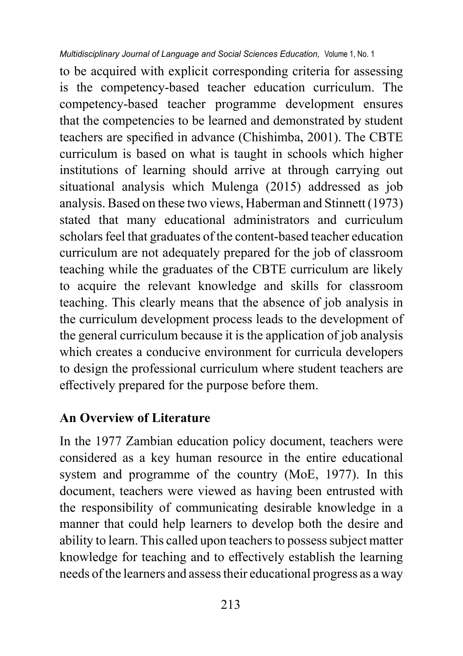to be acquired with explicit corresponding criteria for assessing is the competency-based teacher education curriculum. The competency-based teacher programme development ensures that the competencies to be learned and demonstrated by student teachers are specified in advance (Chishimba, 2001). The CBTE curriculum is based on what is taught in schools which higher institutions of learning should arrive at through carrying out situational analysis which Mulenga (2015) addressed as job analysis. Based on these two views, Haberman and Stinnett (1973) stated that many educational administrators and curriculum scholars feel that graduates of the content-based teacher education curriculum are not adequately prepared for the job of classroom teaching while the graduates of the CBTE curriculum are likely to acquire the relevant knowledge and skills for classroom teaching. This clearly means that the absence of job analysis in the curriculum development process leads to the development of the general curriculum because it is the application of job analysis which creates a conducive environment for curricula developers to design the professional curriculum where student teachers are effectively prepared for the purpose before them.

## **An Overview of Literature**

In the 1977 Zambian education policy document, teachers were considered as a key human resource in the entire educational system and programme of the country (MoE, 1977). In this document, teachers were viewed as having been entrusted with the responsibility of communicating desirable knowledge in a manner that could help learners to develop both the desire and ability to learn. This called upon teachers to possess subject matter knowledge for teaching and to effectively establish the learning needs of the learners and assess their educational progress as a way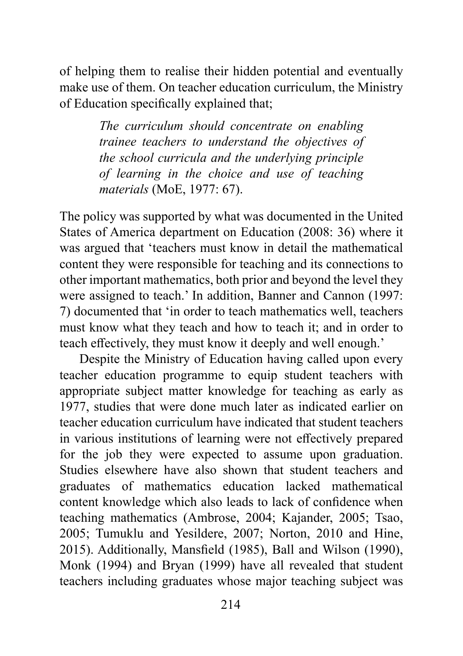of helping them to realise their hidden potential and eventually make use of them. On teacher education curriculum, the Ministry of Education specifically explained that;

> *The curriculum should concentrate on enabling trainee teachers to understand the objectives of the school curricula and the underlying principle of learning in the choice and use of teaching materials* (MoE, 1977: 67).

The policy was supported by what was documented in the United States of America department on Education (2008: 36) where it was argued that 'teachers must know in detail the mathematical content they were responsible for teaching and its connections to other important mathematics, both prior and beyond the level they were assigned to teach.' In addition, Banner and Cannon (1997: 7) documented that 'in order to teach mathematics well, teachers must know what they teach and how to teach it; and in order to teach effectively, they must know it deeply and well enough.'

Despite the Ministry of Education having called upon every teacher education programme to equip student teachers with appropriate subject matter knowledge for teaching as early as 1977, studies that were done much later as indicated earlier on teacher education curriculum have indicated that student teachers in various institutions of learning were not effectively prepared for the job they were expected to assume upon graduation. Studies elsewhere have also shown that student teachers and graduates of mathematics education lacked mathematical content knowledge which also leads to lack of confidence when teaching mathematics (Ambrose, 2004; Kajander, 2005; Tsao, 2005; Tumuklu and Yesildere, 2007; Norton, 2010 and Hine, 2015). Additionally, Mansfield (1985), Ball and Wilson (1990), Monk (1994) and Bryan (1999) have all revealed that student teachers including graduates whose major teaching subject was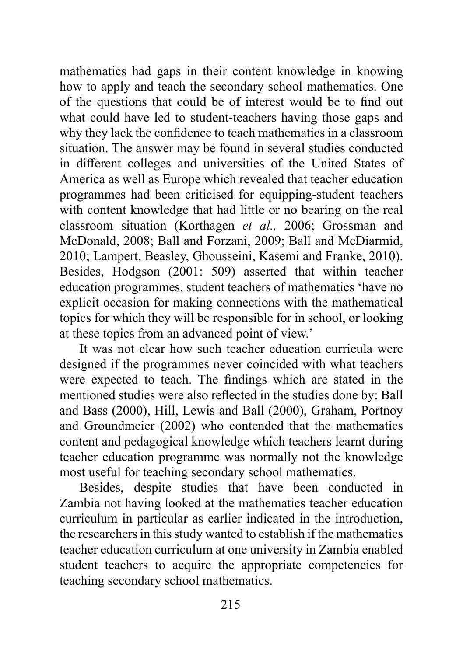mathematics had gaps in their content knowledge in knowing how to apply and teach the secondary school mathematics. One of the questions that could be of interest would be to find out what could have led to student-teachers having those gaps and why they lack the confidence to teach mathematics in a classroom situation. The answer may be found in several studies conducted in different colleges and universities of the United States of America as well as Europe which revealed that teacher education programmes had been criticised for equipping-student teachers with content knowledge that had little or no bearing on the real classroom situation (Korthagen *et al.,* 2006; Grossman and McDonald, 2008; Ball and Forzani, 2009; Ball and McDiarmid, 2010; Lampert, Beasley, Ghousseini, Kasemi and Franke, 2010). Besides, Hodgson (2001: 509) asserted that within teacher education programmes, student teachers of mathematics 'have no explicit occasion for making connections with the mathematical topics for which they will be responsible for in school, or looking at these topics from an advanced point of view.'

It was not clear how such teacher education curricula were designed if the programmes never coincided with what teachers were expected to teach. The findings which are stated in the mentioned studies were also reflected in the studies done by: Ball and Bass (2000), Hill, Lewis and Ball (2000), Graham, Portnoy and Groundmeier (2002) who contended that the mathematics content and pedagogical knowledge which teachers learnt during teacher education programme was normally not the knowledge most useful for teaching secondary school mathematics.

Besides, despite studies that have been conducted in Zambia not having looked at the mathematics teacher education curriculum in particular as earlier indicated in the introduction, the researchers in this study wanted to establish if the mathematics teacher education curriculum at one university in Zambia enabled student teachers to acquire the appropriate competencies for teaching secondary school mathematics.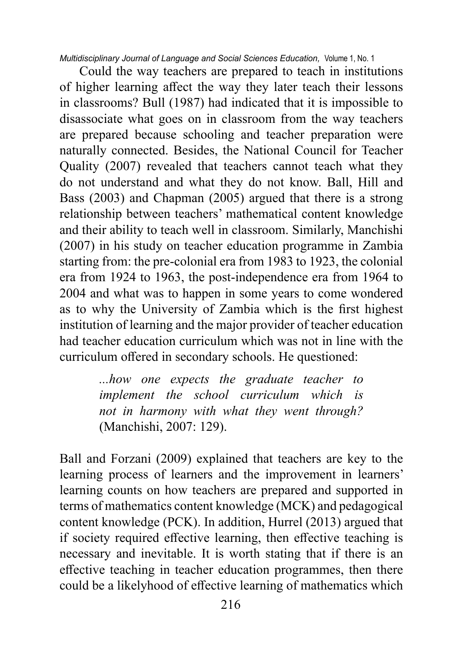Could the way teachers are prepared to teach in institutions of higher learning affect the way they later teach their lessons in classrooms? Bull (1987) had indicated that it is impossible to disassociate what goes on in classroom from the way teachers are prepared because schooling and teacher preparation were naturally connected. Besides, the National Council for Teacher Quality (2007) revealed that teachers cannot teach what they do not understand and what they do not know. Ball, Hill and Bass (2003) and Chapman (2005) argued that there is a strong relationship between teachers' mathematical content knowledge and their ability to teach well in classroom. Similarly, Manchishi (2007) in his study on teacher education programme in Zambia starting from: the pre-colonial era from 1983 to 1923, the colonial era from 1924 to 1963, the post-independence era from 1964 to 2004 and what was to happen in some years to come wondered as to why the University of Zambia which is the first highest institution of learning and the major provider of teacher education had teacher education curriculum which was not in line with the curriculum offered in secondary schools. He questioned:

> *...how one expects the graduate teacher to implement the school curriculum which is not in harmony with what they went through?*  (Manchishi, 2007: 129).

Ball and Forzani (2009) explained that teachers are key to the learning process of learners and the improvement in learners' learning counts on how teachers are prepared and supported in terms of mathematics content knowledge (MCK) and pedagogical content knowledge (PCK). In addition, Hurrel (2013) argued that if society required effective learning, then effective teaching is necessary and inevitable. It is worth stating that if there is an effective teaching in teacher education programmes, then there could be a likelyhood of effective learning of mathematics which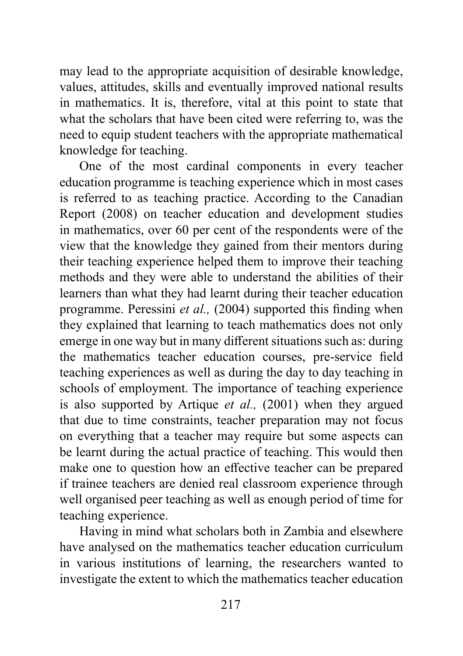may lead to the appropriate acquisition of desirable knowledge, values, attitudes, skills and eventually improved national results in mathematics. It is, therefore, vital at this point to state that what the scholars that have been cited were referring to, was the need to equip student teachers with the appropriate mathematical knowledge for teaching.

One of the most cardinal components in every teacher education programme is teaching experience which in most cases is referred to as teaching practice. According to the Canadian Report (2008) on teacher education and development studies in mathematics, over 60 per cent of the respondents were of the view that the knowledge they gained from their mentors during their teaching experience helped them to improve their teaching methods and they were able to understand the abilities of their learners than what they had learnt during their teacher education programme. Peressini *et al.,* (2004) supported this finding when they explained that learning to teach mathematics does not only emerge in one way but in many different situations such as: during the mathematics teacher education courses, pre-service field teaching experiences as well as during the day to day teaching in schools of employment. The importance of teaching experience is also supported by Artique *et al.,* (2001) when they argued that due to time constraints, teacher preparation may not focus on everything that a teacher may require but some aspects can be learnt during the actual practice of teaching. This would then make one to question how an effective teacher can be prepared if trainee teachers are denied real classroom experience through well organised peer teaching as well as enough period of time for teaching experience.

Having in mind what scholars both in Zambia and elsewhere have analysed on the mathematics teacher education curriculum in various institutions of learning, the researchers wanted to investigate the extent to which the mathematics teacher education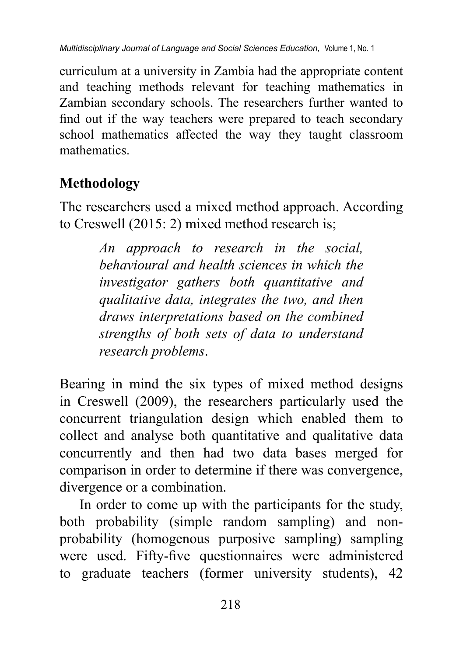curriculum at a university in Zambia had the appropriate content and teaching methods relevant for teaching mathematics in Zambian secondary schools. The researchers further wanted to find out if the way teachers were prepared to teach secondary school mathematics affected the way they taught classroom mathematics.

# **Methodology**

The researchers used a mixed method approach. According to Creswell (2015: 2) mixed method research is;

> *An approach to research in the social, behavioural and health sciences in which the investigator gathers both quantitative and qualitative data, integrates the two, and then draws interpretations based on the combined strengths of both sets of data to understand research problems*.

Bearing in mind the six types of mixed method designs in Creswell (2009), the researchers particularly used the concurrent triangulation design which enabled them to collect and analyse both quantitative and qualitative data concurrently and then had two data bases merged for comparison in order to determine if there was convergence, divergence or a combination.

In order to come up with the participants for the study, both probability (simple random sampling) and nonprobability (homogenous purposive sampling) sampling were used. Fifty-five questionnaires were administered to graduate teachers (former university students), 42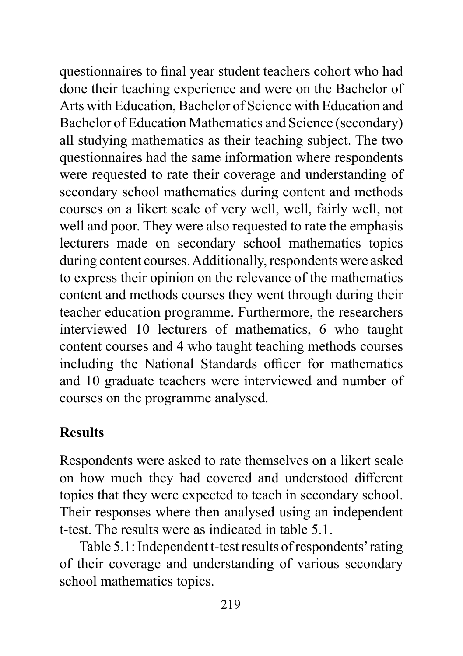questionnaires to final year student teachers cohort who had done their teaching experience and were on the Bachelor of Arts with Education, Bachelor of Science with Education and Bachelor of Education Mathematics and Science (secondary) all studying mathematics as their teaching subject. The two questionnaires had the same information where respondents were requested to rate their coverage and understanding of secondary school mathematics during content and methods courses on a likert scale of very well, well, fairly well, not well and poor. They were also requested to rate the emphasis lecturers made on secondary school mathematics topics during content courses. Additionally, respondents were asked to express their opinion on the relevance of the mathematics content and methods courses they went through during their teacher education programme. Furthermore, the researchers interviewed 10 lecturers of mathematics, 6 who taught content courses and 4 who taught teaching methods courses including the National Standards officer for mathematics and 10 graduate teachers were interviewed and number of courses on the programme analysed.

# **Results**

Respondents were asked to rate themselves on a likert scale on how much they had covered and understood different topics that they were expected to teach in secondary school. Their responses where then analysed using an independent t-test. The results were as indicated in table 5.1.

Table 5.1: Independent t-test results of respondents' rating of their coverage and understanding of various secondary school mathematics topics.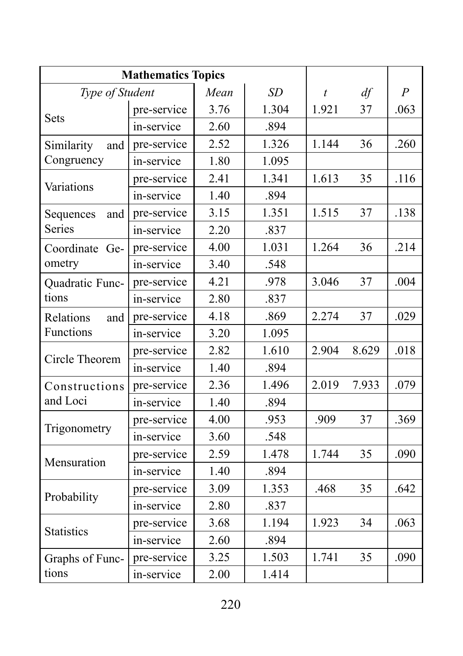| <b>Mathematics Topics</b>       |             |      |       |                  |       |                  |
|---------------------------------|-------------|------|-------|------------------|-------|------------------|
| Type of Student                 |             | Mean | SD    | $\boldsymbol{t}$ | df    | $\boldsymbol{P}$ |
| <b>Sets</b>                     | pre-service | 3.76 | 1.304 | 1.921            | 37    | .063             |
|                                 | in-service  | 2.60 | .894  |                  |       |                  |
| Similarity<br>and<br>Congruency | pre-service | 2.52 | 1.326 | 1.144            | 36    | .260             |
|                                 | in-service  | 1.80 | 1.095 |                  |       |                  |
| Variations                      | pre-service | 2.41 | 1.341 | 1.613            | 35    | .116             |
|                                 | in-service  | 1.40 | .894  |                  |       |                  |
| Sequences<br>and<br>Series      | pre-service | 3.15 | 1.351 | 1.515            | 37    | .138             |
|                                 | in-service  | 2.20 | .837  |                  |       |                  |
| Coordinate Ge-<br>ometry        | pre-service | 4.00 | 1.031 | 1.264            | 36    | .214             |
|                                 | in-service  | 3.40 | .548  |                  |       |                  |
| Quadratic Func-<br>tions        | pre-service | 4.21 | .978  | 3.046            | 37    | .004             |
|                                 | in-service  | 2.80 | .837  |                  |       |                  |
| Relations<br>and<br>Functions   | pre-service | 4.18 | .869  | 2.274            | 37    | .029             |
|                                 | in-service  | 3.20 | 1.095 |                  |       |                  |
| Circle Theorem                  | pre-service | 2.82 | 1.610 | 2.904            | 8.629 | .018             |
|                                 | in-service  | 1.40 | .894  |                  |       |                  |
| Constructions<br>and Loci       | pre-service | 2.36 | 1.496 | 2.019            | 7.933 | .079             |
|                                 | in-service  | 1.40 | .894  |                  |       |                  |
| Trigonometry                    | pre-service | 4.00 | .953  | .909             | 37    | .369             |
|                                 | in-service  | 3.60 | .548  |                  |       |                  |
| Mensuration                     | pre-service | 2.59 | 1.478 | 1.744            | 35    | .090             |
|                                 | in-service  | 1.40 | .894  |                  |       |                  |
| Probability                     | pre-service | 3.09 | 1.353 | .468             | 35    | .642             |
|                                 | in-service  | 2.80 | .837  |                  |       |                  |
| <b>Statistics</b>               | pre-service | 3.68 | 1.194 | 1.923            | 34    | .063             |
|                                 | in-service  | 2.60 | .894  |                  |       |                  |
| Graphs of Func-<br>tions        | pre-service | 3.25 | 1.503 | 1.741            | 35    | .090             |
|                                 | in-service  | 2.00 | 1.414 |                  |       |                  |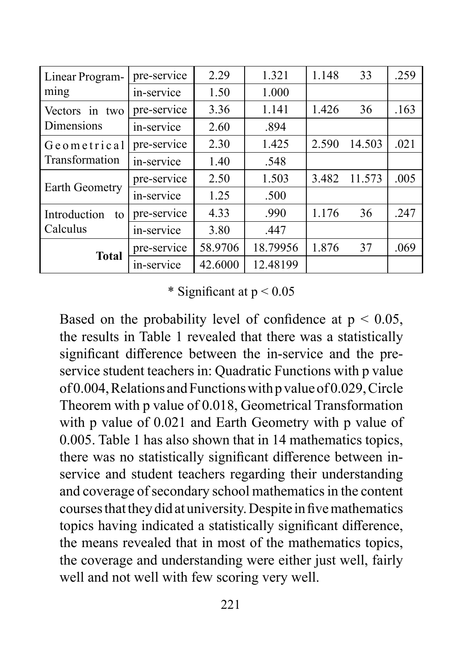| Linear Program-<br>ming        | pre-service | 2.29    | 1.321    | 1.148 | 33     | .259 |
|--------------------------------|-------------|---------|----------|-------|--------|------|
|                                | in-service  | 1.50    | 1.000    |       |        |      |
| Vectors in two<br>Dimensions   | pre-service | 3.36    | 1.141    | 1.426 | 36     | .163 |
|                                | in-service  | 2.60    | .894     |       |        |      |
| Geometrical<br>Transformation  | pre-service | 2.30    | 1.425    | 2.590 | 14.503 | .021 |
|                                | in-service  | 1.40    | .548     |       |        |      |
| Earth Geometry                 | pre-service | 2.50    | 1.503    | 3.482 | 11.573 | .005 |
|                                | in-service  | 1.25    | .500     |       |        |      |
| Introduction<br>to<br>Calculus | pre-service | 4.33    | .990     | 1.176 | 36     | .247 |
|                                | in-service  | 3.80    | .447     |       |        |      |
| <b>Total</b>                   | pre-service | 58.9706 | 18.79956 | 1.876 | 37     | .069 |
|                                | in-service  | 42.6000 | 12.48199 |       |        |      |

\* Significant at  $p < 0.05$ 

Based on the probability level of confidence at  $p < 0.05$ , the results in Table 1 revealed that there was a statistically significant difference between the in-service and the preservice student teachers in: Quadratic Functions with p value of 0.004, Relations and Functions with p value of 0.029, Circle Theorem with p value of 0.018, Geometrical Transformation with p value of 0.021 and Earth Geometry with p value of 0.005. Table 1 has also shown that in 14 mathematics topics, there was no statistically significant difference between inservice and student teachers regarding their understanding and coverage of secondary school mathematics in the content courses that they did at university. Despite in five mathematics topics having indicated a statistically significant difference, the means revealed that in most of the mathematics topics, the coverage and understanding were either just well, fairly well and not well with few scoring very well.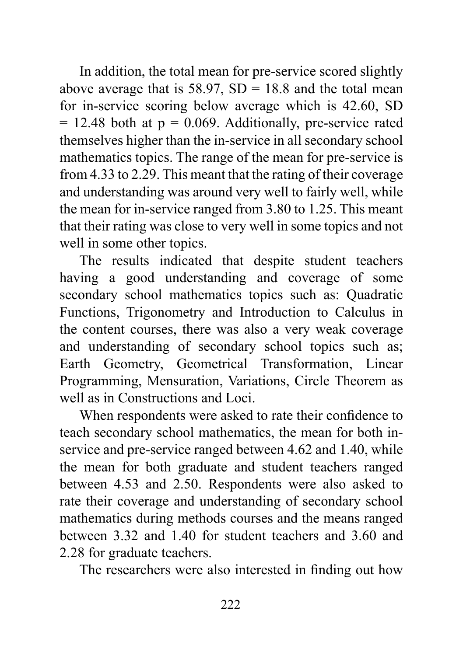In addition, the total mean for pre-service scored slightly above average that is  $58.97$ ,  $SD = 18.8$  and the total mean for in-service scoring below average which is 42.60, SD  $= 12.48$  both at  $p = 0.069$ . Additionally, pre-service rated themselves higher than the in-service in all secondary school mathematics topics. The range of the mean for pre-service is from 4.33 to 2.29. This meant that the rating of their coverage and understanding was around very well to fairly well, while the mean for in-service ranged from 3.80 to 1.25. This meant that their rating was close to very well in some topics and not well in some other topics.

The results indicated that despite student teachers having a good understanding and coverage of some secondary school mathematics topics such as: Quadratic Functions, Trigonometry and Introduction to Calculus in the content courses, there was also a very weak coverage and understanding of secondary school topics such as; Earth Geometry, Geometrical Transformation, Linear Programming, Mensuration, Variations, Circle Theorem as well as in Constructions and Loci.

When respondents were asked to rate their confidence to teach secondary school mathematics, the mean for both inservice and pre-service ranged between 4.62 and 1.40, while the mean for both graduate and student teachers ranged between 4.53 and 2.50. Respondents were also asked to rate their coverage and understanding of secondary school mathematics during methods courses and the means ranged between 3.32 and 1.40 for student teachers and 3.60 and 2.28 for graduate teachers.

The researchers were also interested in finding out how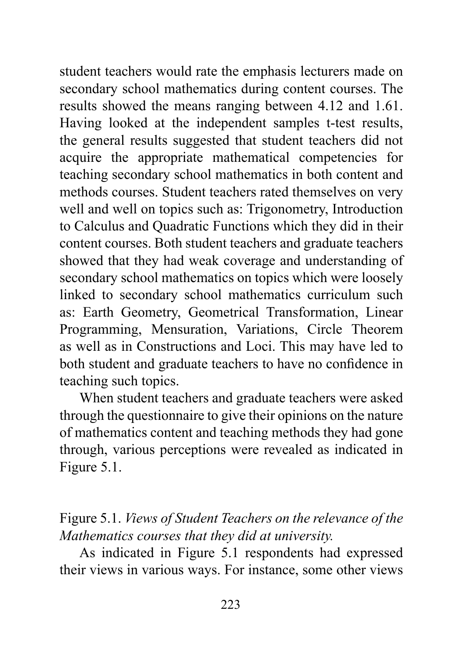student teachers would rate the emphasis lecturers made on secondary school mathematics during content courses. The results showed the means ranging between 4.12 and 1.61. Having looked at the independent samples t-test results, the general results suggested that student teachers did not acquire the appropriate mathematical competencies for teaching secondary school mathematics in both content and methods courses. Student teachers rated themselves on very well and well on topics such as: Trigonometry, Introduction to Calculus and Quadratic Functions which they did in their content courses. Both student teachers and graduate teachers showed that they had weak coverage and understanding of secondary school mathematics on topics which were loosely linked to secondary school mathematics curriculum such as: Earth Geometry, Geometrical Transformation, Linear Programming, Mensuration, Variations, Circle Theorem as well as in Constructions and Loci. This may have led to both student and graduate teachers to have no confidence in teaching such topics.

When student teachers and graduate teachers were asked through the questionnaire to give their opinions on the nature of mathematics content and teaching methods they had gone through, various perceptions were revealed as indicated in Figure 5.1.

Figure 5.1. *Views of Student Teachers on the relevance of the Mathematics courses that they did at university.*

As indicated in Figure 5.1 respondents had expressed their views in various ways. For instance, some other views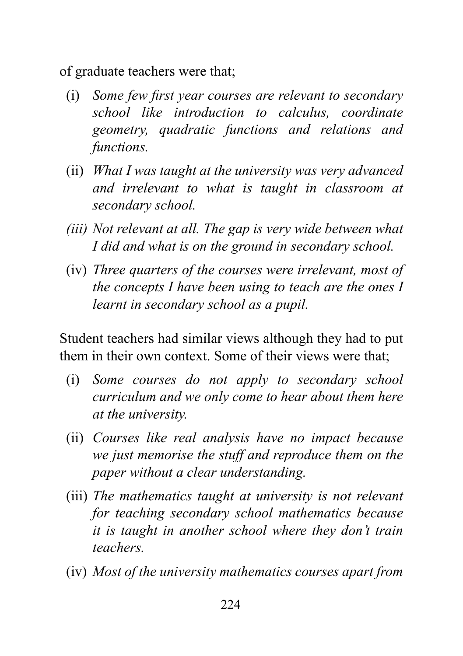of graduate teachers were that;

- (i) *Some few first year courses are relevant to secondary school like introduction to calculus, coordinate geometry, quadratic functions and relations and functions.*
- (ii) *What I was taught at the university was very advanced and irrelevant to what is taught in classroom at secondary school.*
- *(iii) Not relevant at all. The gap is very wide between what I did and what is on the ground in secondary school.*
- (iv) *Three quarters of the courses were irrelevant, most of the concepts I have been using to teach are the ones I learnt in secondary school as a pupil.*

Student teachers had similar views although they had to put them in their own context. Some of their views were that;

- (i) *Some courses do not apply to secondary school curriculum and we only come to hear about them here at the university.*
- (ii) *Courses like real analysis have no impact because we just memorise the stuff and reproduce them on the paper without a clear understanding.*
- (iii) *The mathematics taught at university is not relevant for teaching secondary school mathematics because it is taught in another school where they don't train teachers.*
- (iv) *Most of the university mathematics courses apart from*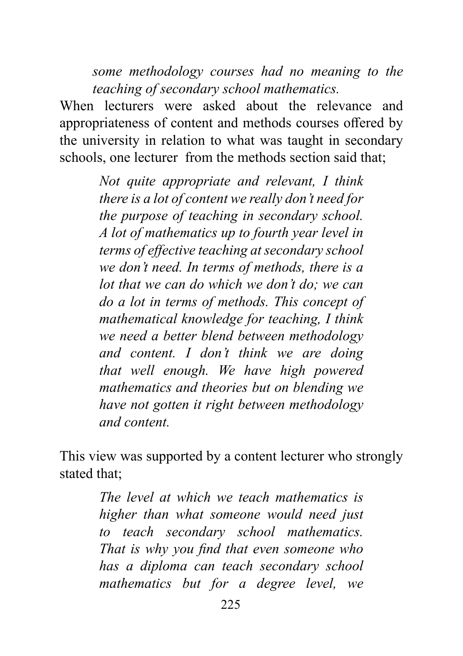*some methodology courses had no meaning to the teaching of secondary school mathematics.*

When lecturers were asked about the relevance and appropriateness of content and methods courses offered by the university in relation to what was taught in secondary schools, one lecturer from the methods section said that;

> *Not quite appropriate and relevant, I think there is a lot of content we really don't need for the purpose of teaching in secondary school. A lot of mathematics up to fourth year level in terms of effective teaching at secondary school we don't need. In terms of methods, there is a lot that we can do which we don't do; we can do a lot in terms of methods. This concept of mathematical knowledge for teaching, I think we need a better blend between methodology and content. I don't think we are doing that well enough. We have high powered mathematics and theories but on blending we have not gotten it right between methodology and content.*

This view was supported by a content lecturer who strongly stated that;

> *The level at which we teach mathematics is higher than what someone would need just to teach secondary school mathematics. That is why you find that even someone who has a diploma can teach secondary school mathematics but for a degree level, we*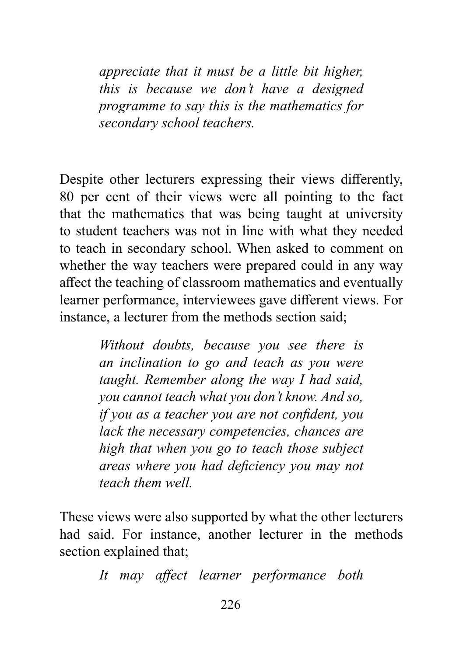*appreciate that it must be a little bit higher, this is because we don't have a designed programme to say this is the mathematics for secondary school teachers.*

Despite other lecturers expressing their views differently, 80 per cent of their views were all pointing to the fact that the mathematics that was being taught at university to student teachers was not in line with what they needed to teach in secondary school. When asked to comment on whether the way teachers were prepared could in any way affect the teaching of classroom mathematics and eventually learner performance, interviewees gave different views. For instance, a lecturer from the methods section said;

> *Without doubts, because you see there is an inclination to go and teach as you were taught. Remember along the way I had said, you cannot teach what you don't know. And so, if you as a teacher you are not confident, you lack the necessary competencies, chances are high that when you go to teach those subject areas where you had deficiency you may not teach them well.*

These views were also supported by what the other lecturers had said. For instance, another lecturer in the methods section explained that;

*It may affect learner performance both*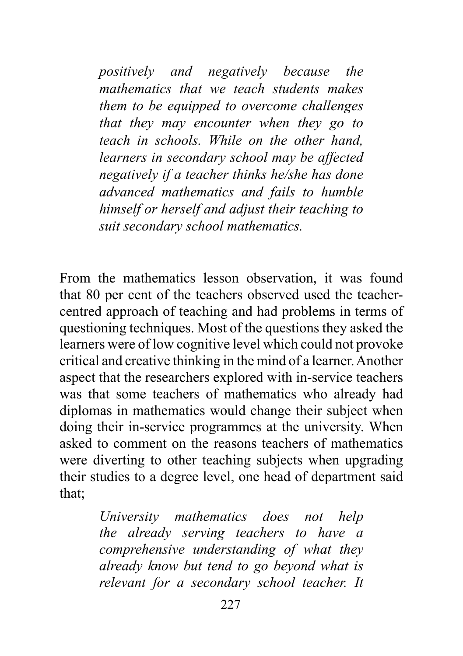*positively and negatively because the mathematics that we teach students makes them to be equipped to overcome challenges that they may encounter when they go to teach in schools. While on the other hand, learners in secondary school may be affected negatively if a teacher thinks he/she has done advanced mathematics and fails to humble himself or herself and adjust their teaching to suit secondary school mathematics.*

From the mathematics lesson observation, it was found that 80 per cent of the teachers observed used the teachercentred approach of teaching and had problems in terms of questioning techniques. Most of the questions they asked the learners were of low cognitive level which could not provoke critical and creative thinking in the mind of a learner. Another aspect that the researchers explored with in-service teachers was that some teachers of mathematics who already had diplomas in mathematics would change their subject when doing their in-service programmes at the university. When asked to comment on the reasons teachers of mathematics were diverting to other teaching subjects when upgrading their studies to a degree level, one head of department said that;

> *University mathematics does not help the already serving teachers to have a comprehensive understanding of what they already know but tend to go beyond what is relevant for a secondary school teacher. It*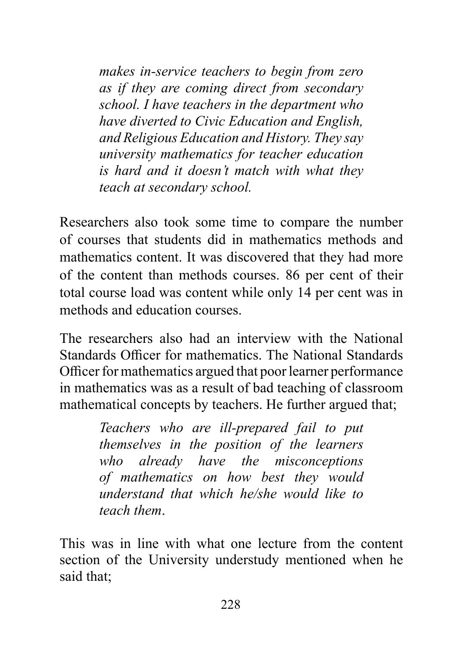*makes in-service teachers to begin from zero as if they are coming direct from secondary school. I have teachers in the department who have diverted to Civic Education and English, and Religious Education and History. They say university mathematics for teacher education is hard and it doesn't match with what they teach at secondary school.*

Researchers also took some time to compare the number of courses that students did in mathematics methods and mathematics content. It was discovered that they had more of the content than methods courses. 86 per cent of their total course load was content while only 14 per cent was in methods and education courses.

The researchers also had an interview with the National Standards Officer for mathematics. The National Standards Officer for mathematics argued that poor learner performance in mathematics was as a result of bad teaching of classroom mathematical concepts by teachers. He further argued that;

> *Teachers who are ill-prepared fail to put themselves in the position of the learners who already have the misconceptions of mathematics on how best they would understand that which he/she would like to teach them*.

This was in line with what one lecture from the content section of the University understudy mentioned when he said that;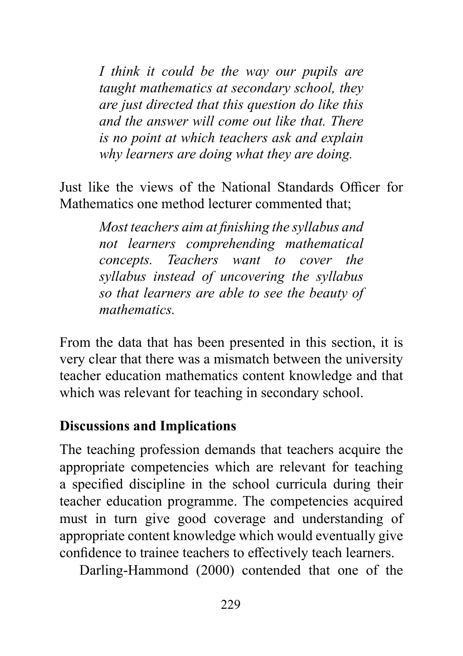*I think it could be the way our pupils are taught mathematics at secondary school, they are just directed that this question do like this and the answer will come out like that. There is no point at which teachers ask and explain why learners are doing what they are doing.* 

Just like the views of the National Standards Officer for Mathematics one method lecturer commented that;

> *Most teachers aim at finishing the syllabus and not learners comprehending mathematical concepts. Teachers want to cover the syllabus instead of uncovering the syllabus so that learners are able to see the beauty of mathematics.*

From the data that has been presented in this section, it is very clear that there was a mismatch between the university teacher education mathematics content knowledge and that which was relevant for teaching in secondary school.

## **Discussions and Implications**

The teaching profession demands that teachers acquire the appropriate competencies which are relevant for teaching a specified discipline in the school curricula during their teacher education programme. The competencies acquired must in turn give good coverage and understanding of appropriate content knowledge which would eventually give confidence to trainee teachers to effectively teach learners.

Darling-Hammond (2000) contended that one of the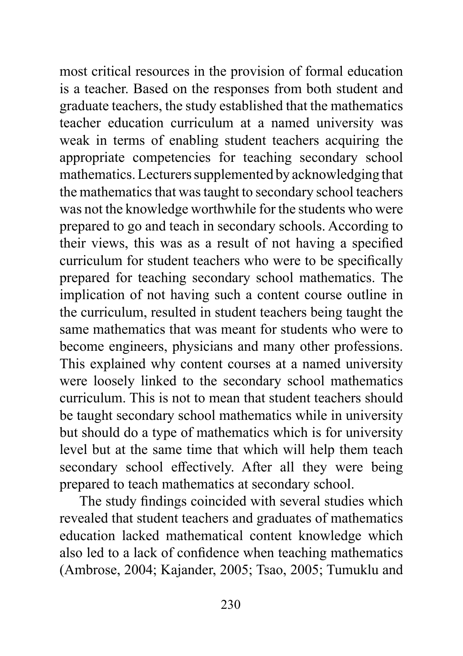most critical resources in the provision of formal education is a teacher. Based on the responses from both student and graduate teachers, the study established that the mathematics teacher education curriculum at a named university was weak in terms of enabling student teachers acquiring the appropriate competencies for teaching secondary school mathematics. Lecturers supplemented by acknowledging that the mathematics that was taught to secondary school teachers was not the knowledge worthwhile for the students who were prepared to go and teach in secondary schools. According to their views, this was as a result of not having a specified curriculum for student teachers who were to be specifically prepared for teaching secondary school mathematics. The implication of not having such a content course outline in the curriculum, resulted in student teachers being taught the same mathematics that was meant for students who were to become engineers, physicians and many other professions. This explained why content courses at a named university were loosely linked to the secondary school mathematics curriculum. This is not to mean that student teachers should be taught secondary school mathematics while in university but should do a type of mathematics which is for university level but at the same time that which will help them teach secondary school effectively. After all they were being prepared to teach mathematics at secondary school.

The study findings coincided with several studies which revealed that student teachers and graduates of mathematics education lacked mathematical content knowledge which also led to a lack of confidence when teaching mathematics (Ambrose, 2004; Kajander, 2005; Tsao, 2005; Tumuklu and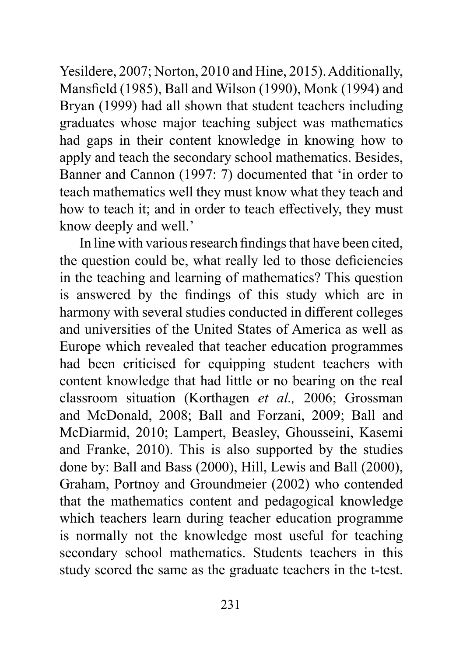Yesildere, 2007; Norton, 2010 and Hine, 2015). Additionally, Mansfield (1985), Ball and Wilson (1990), Monk (1994) and Bryan (1999) had all shown that student teachers including graduates whose major teaching subject was mathematics had gaps in their content knowledge in knowing how to apply and teach the secondary school mathematics. Besides, Banner and Cannon (1997: 7) documented that 'in order to teach mathematics well they must know what they teach and how to teach it; and in order to teach effectively, they must know deeply and well.'

In line with various research findings that have been cited, the question could be, what really led to those deficiencies in the teaching and learning of mathematics? This question is answered by the findings of this study which are in harmony with several studies conducted in different colleges and universities of the United States of America as well as Europe which revealed that teacher education programmes had been criticised for equipping student teachers with content knowledge that had little or no bearing on the real classroom situation (Korthagen *et al.,* 2006; Grossman and McDonald, 2008; Ball and Forzani, 2009; Ball and McDiarmid, 2010; Lampert, Beasley, Ghousseini, Kasemi and Franke, 2010). This is also supported by the studies done by: Ball and Bass (2000), Hill, Lewis and Ball (2000), Graham, Portnoy and Groundmeier (2002) who contended that the mathematics content and pedagogical knowledge which teachers learn during teacher education programme is normally not the knowledge most useful for teaching secondary school mathematics. Students teachers in this study scored the same as the graduate teachers in the t-test.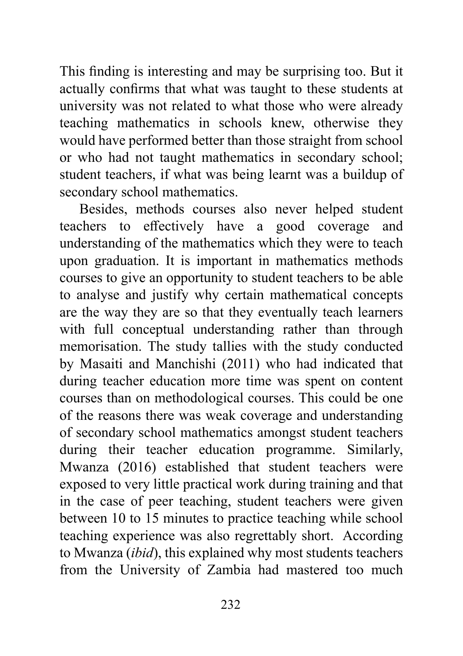This finding is interesting and may be surprising too. But it actually confirms that what was taught to these students at university was not related to what those who were already teaching mathematics in schools knew, otherwise they would have performed better than those straight from school or who had not taught mathematics in secondary school; student teachers, if what was being learnt was a buildup of secondary school mathematics.

Besides, methods courses also never helped student teachers to effectively have a good coverage and understanding of the mathematics which they were to teach upon graduation. It is important in mathematics methods courses to give an opportunity to student teachers to be able to analyse and justify why certain mathematical concepts are the way they are so that they eventually teach learners with full conceptual understanding rather than through memorisation. The study tallies with the study conducted by Masaiti and Manchishi (2011) who had indicated that during teacher education more time was spent on content courses than on methodological courses. This could be one of the reasons there was weak coverage and understanding of secondary school mathematics amongst student teachers during their teacher education programme. Similarly, Mwanza (2016) established that student teachers were exposed to very little practical work during training and that in the case of peer teaching, student teachers were given between 10 to 15 minutes to practice teaching while school teaching experience was also regrettably short. According to Mwanza (*ibid*), this explained why most students teachers from the University of Zambia had mastered too much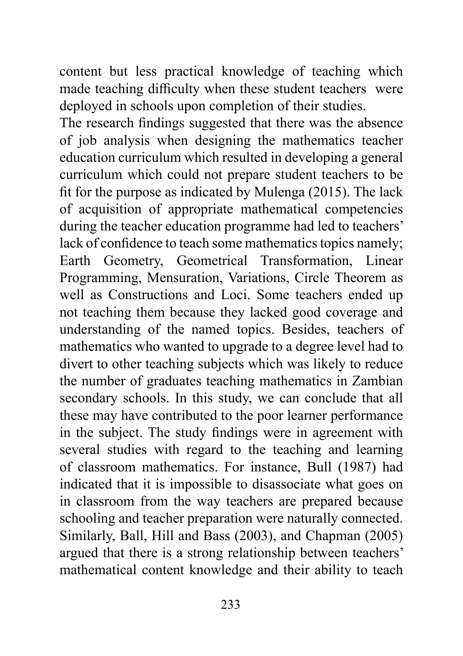content but less practical knowledge of teaching which made teaching difficulty when these student teachers were deployed in schools upon completion of their studies.

The research findings suggested that there was the absence of job analysis when designing the mathematics teacher education curriculum which resulted in developing a general curriculum which could not prepare student teachers to be fit for the purpose as indicated by Mulenga (2015). The lack of acquisition of appropriate mathematical competencies during the teacher education programme had led to teachers' lack of confidence to teach some mathematics topics namely; Earth Geometry, Geometrical Transformation, Linear Programming, Mensuration, Variations, Circle Theorem as well as Constructions and Loci. Some teachers ended up not teaching them because they lacked good coverage and understanding of the named topics. Besides, teachers of mathematics who wanted to upgrade to a degree level had to divert to other teaching subjects which was likely to reduce the number of graduates teaching mathematics in Zambian secondary schools. In this study, we can conclude that all these may have contributed to the poor learner performance in the subject. The study findings were in agreement with several studies with regard to the teaching and learning of classroom mathematics. For instance, Bull (1987) had indicated that it is impossible to disassociate what goes on in classroom from the way teachers are prepared because schooling and teacher preparation were naturally connected. Similarly, Ball, Hill and Bass (2003), and Chapman (2005) argued that there is a strong relationship between teachers' mathematical content knowledge and their ability to teach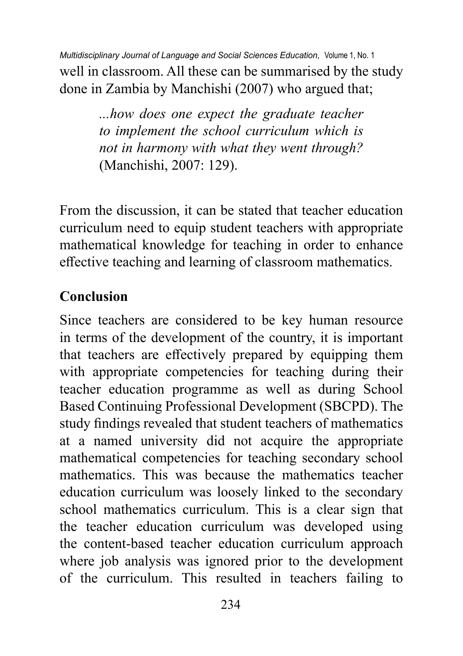well in classroom. All these can be summarised by the study done in Zambia by Manchishi (2007) who argued that; *Multidisciplinary Journal of Language and Social Sciences Education,* Volume 1, No. 1

> *...how does one expect the graduate teacher to implement the school curriculum which is not in harmony with what they went through?*  (Manchishi, 2007: 129).

From the discussion, it can be stated that teacher education curriculum need to equip student teachers with appropriate mathematical knowledge for teaching in order to enhance effective teaching and learning of classroom mathematics.

# **Conclusion**

Since teachers are considered to be key human resource in terms of the development of the country, it is important that teachers are effectively prepared by equipping them with appropriate competencies for teaching during their teacher education programme as well as during School Based Continuing Professional Development (SBCPD). The study findings revealed that student teachers of mathematics at a named university did not acquire the appropriate mathematical competencies for teaching secondary school mathematics. This was because the mathematics teacher education curriculum was loosely linked to the secondary school mathematics curriculum. This is a clear sign that the teacher education curriculum was developed using the content-based teacher education curriculum approach where job analysis was ignored prior to the development of the curriculum. This resulted in teachers failing to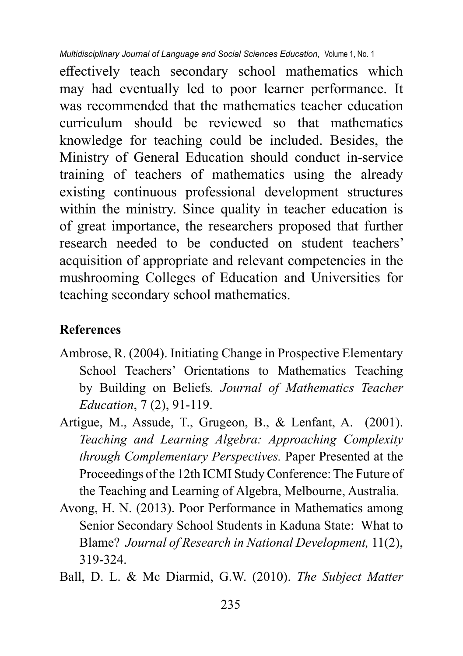effectively teach secondary school mathematics which may had eventually led to poor learner performance. It was recommended that the mathematics teacher education curriculum should be reviewed so that mathematics knowledge for teaching could be included. Besides, the Ministry of General Education should conduct in-service training of teachers of mathematics using the already existing continuous professional development structures within the ministry. Since quality in teacher education is of great importance, the researchers proposed that further research needed to be conducted on student teachers' acquisition of appropriate and relevant competencies in the mushrooming Colleges of Education and Universities for teaching secondary school mathematics.

## **References**

- Ambrose, R. (2004). Initiating Change in Prospective Elementary School Teachers' Orientations to Mathematics Teaching by Building on Beliefs*. Journal of Mathematics Teacher Education*, 7 (2), 91-119.
- Artigue, M., Assude, T., Grugeon, B., & Lenfant, A. (2001). *Teaching and Learning Algebra: Approaching Complexity through Complementary Perspectives.* Paper Presented at the Proceedings of the 12th ICMI Study Conference: The Future of the Teaching and Learning of Algebra, Melbourne, Australia.
- Avong, H. N. (2013). Poor Performance in Mathematics among Senior Secondary School Students in Kaduna State: What to Blame? *Journal of Research in National Development,* 11(2), 319-324.
- Ball, D. L. & Mc Diarmid, G.W. (2010). *The Subject Matter*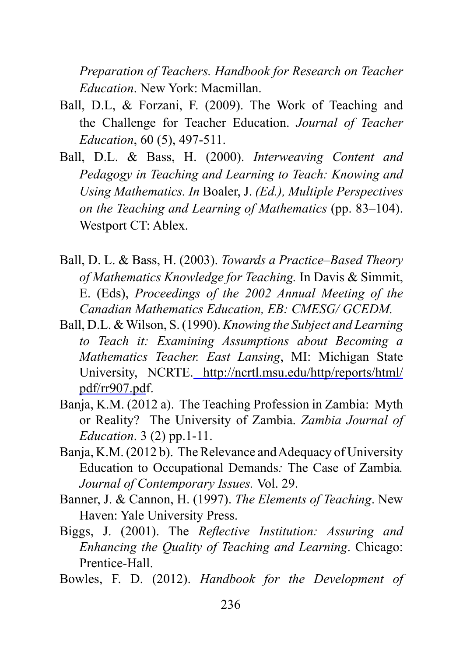*Preparation of Teachers. Handbook for Research on Teacher Education*. New York: Macmillan.

- Ball, D.L, & Forzani, F. (2009). The Work of Teaching and the Challenge for Teacher Education. *Journal of Teacher Education*, 60 (5), 497-511.
- Ball, D.L. & Bass, H. (2000). *Interweaving Content and Pedagogy in Teaching and Learning to Teach: Knowing and Using Mathematics. In* Boaler, J. *(Ed.), Multiple Perspectives on the Teaching and Learning of Mathematics* (pp. 83–104). Westport CT: Ablex.
- Ball, D. L. & Bass, H. (2003). *Towards a Practice–Based Theory of Mathematics Knowledge for Teaching.* In Davis & Simmit, E. (Eds), *Proceedings of the 2002 Annual Meeting of the Canadian Mathematics Education, EB: CMESG/ GCEDM.*
- Ball, D.L. & Wilson, S. (1990). *Knowing the Subject and Learning to Teach it: Examining Assumptions about Becoming a Mathematics Teacher. East Lansing*, MI: Michigan State University, NCRTE[. http://ncrtl.msu.edu/http/reports/html/](%20http://ncrtl.msu.edu/http/reports/html/pdf/rr907.pd) [pdf/rr907.pd](%20http://ncrtl.msu.edu/http/reports/html/pdf/rr907.pd)f.
- Banja, K.M. (2012 a). The Teaching Profession in Zambia: Myth or Reality? The University of Zambia. *Zambia Journal of Education*. 3 (2) pp.1-11.
- Banja, K.M. (2012 b). The Relevance and Adequacy of University Education to Occupational Demands*:* The Case of Zambia*. Journal of Contemporary Issues.* Vol. 29.
- Banner, J. & Cannon, H. (1997). *The Elements of Teaching*. New Haven: Yale University Press.
- Biggs, J. (2001). The *Reflective Institution: Assuring and Enhancing the Quality of Teaching and Learning*. Chicago: Prentice-Hall.
- Bowles, F. D. (2012). *Handbook for the Development of*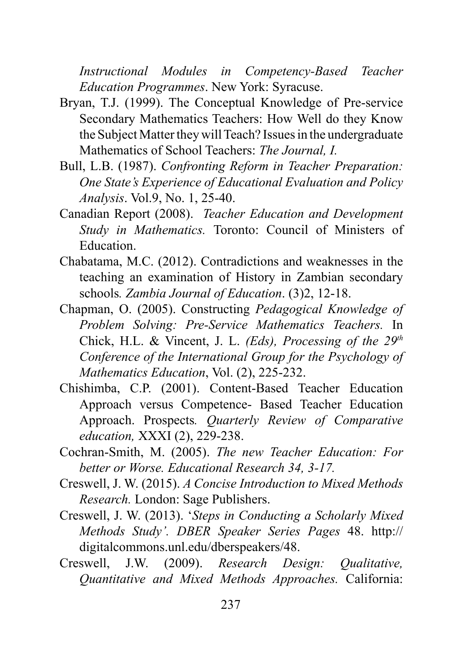*Instructional Modules in Competency-Based Teacher Education Programmes*. New York: Syracuse.

- Bryan, T.J. (1999). The Conceptual Knowledge of Pre-service Secondary Mathematics Teachers: How Well do they Know the Subject Matter they will Teach? Issues in the undergraduate Mathematics of School Teachers: *The Journal, I.*
- Bull, L.B. (1987). *Confronting Reform in Teacher Preparation: One State's Experience of Educational Evaluation and Policy Analysis*. Vol.9, No. 1, 25-40.
- Canadian Report (2008). *Teacher Education and Development Study in Mathematics.* Toronto: Council of Ministers of Education.
- Chabatama, M.C. (2012). Contradictions and weaknesses in the teaching an examination of History in Zambian secondary schools*. Zambia Journal of Education*. (3)2, 12-18.
- Chapman, O. (2005). Constructing *Pedagogical Knowledge of Problem Solving: Pre-Service Mathematics Teachers.* In Chick, H.L. & Vincent, J. L. *(Eds), Processing of the 29th Conference of the International Group for the Psychology of Mathematics Education*, Vol. (2), 225-232.
- Chishimba, C.P. (2001). Content-Based Teacher Education Approach versus Competence- Based Teacher Education Approach. Prospects*. Quarterly Review of Comparative education,* XXXI (2), 229-238.
- Cochran-Smith, M. (2005). *The new Teacher Education: For better or Worse. Educational Research 34, 3-17.*
- Creswell, J. W. (2015). *A Concise Introduction to Mixed Methods Research.* London: Sage Publishers.
- Creswell, J. W. (2013). '*Steps in Conducting a Scholarly Mixed Methods Study'. DBER Speaker Series Pages* 48. http:// digitalcommons.unl.edu/dberspeakers/48.
- Creswell, J.W. (2009). *Research Design: Qualitative, Quantitative and Mixed Methods Approaches.* California: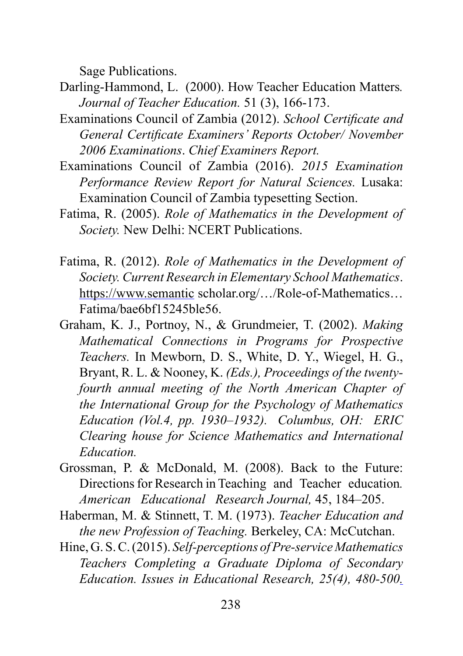Sage Publications.

- Darling-Hammond, L. (2000). How Teacher Education Matters*. Journal of Teacher Education.* 51 (3), 166-173.
- Examinations Council of Zambia (2012). *School Certificate and General Certificate Examiners' Reports October/ November 2006 Examinations*. *Chief Examiners Report.*
- Examinations Council of Zambia (2016). *2015 Examination Performance Review Report for Natural Sciences.* Lusaka: Examination Council of Zambia typesetting Section.
- Fatima, R. (2005). *Role of Mathematics in the Development of Society.* New Delhi: NCERT Publications.
- Fatima, R. (2012). *Role of Mathematics in the Development of Society. Current Research in Elementary School Mathematics*. [https://www.semantic](https://www.semantic/) scholar.org/…/Role-of-Mathematics… Fatima/bae6bf15245ble56.
- Graham, K. J., Portnoy, N., & Grundmeier, T. (2002). *Making Mathematical Connections in Programs for Prospective Teachers.* In Mewborn, D. S., White, D. Y., Wiegel, H. G., Bryant, R. L. & Nooney, K. *(Eds.), Proceedings of the twentyfourth annual meeting of the North American Chapter of the International Group for the Psychology of Mathematics Education (Vol.4, pp. 1930–1932). Columbus, OH: ERIC Clearing house for Science Mathematics and International Education.*
- Grossman, P. & McDonald, M. (2008). Back to the Future: Directions for Research in Teaching and Teacher education*. American Educational Research Journal,* 45, 184–205.
- Haberman, M. & Stinnett, T. M. (1973). *Teacher Education and the new Profession of Teaching.* Berkeley, CA: McCutchan.
- Hine, G. S. C. (2015). *Self-perceptions of Pre-service Mathematics Teachers Completing a Graduate Diploma of Secondary Education. Issues in Educational Research, 25(4), 480-500[.](http://www.iier.org.au/iier25/hine.pdf)*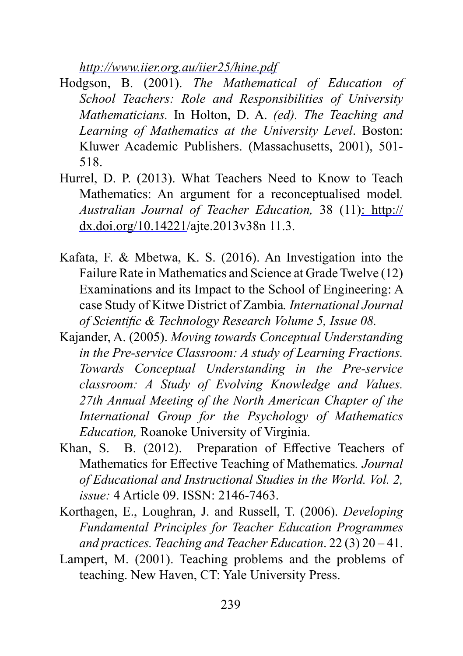*<http://www.iier.org.au/iier25/hine.pdf>*

- Hodgson, B. (2001). *The Mathematical of Education of School Teachers: Role and Responsibilities of University Mathematicians.* In Holton, D. A. *(ed). The Teaching and Learning of Mathematics at the University Level*. Boston: Kluwer Academic Publishers. (Massachusetts, 2001), 501- 518.
- Hurrel, D. P. (2013). What Teachers Need to Know to Teach Mathematics: An argument for a reconceptualised model*. Australian Journal of Teacher Education,* 38 (11)[: http://](http://dx.doi.org/10.14221/) [dx.doi.org/10.14221](http://dx.doi.org/10.14221/)/ajte.2013v38n 11.3.
- Kafata, F. & Mbetwa, K. S. (2016). An Investigation into the Failure Rate in Mathematics and Science at Grade Twelve (12) Examinations and its Impact to the School of Engineering: A case Study of Kitwe District of Zambia*. International Journal of Scientific & Technology Research Volume 5, Issue 08.*
- Kajander, A. (2005). *Moving towards Conceptual Understanding in the Pre-service Classroom: A study of Learning Fractions. Towards Conceptual Understanding in the Pre-service classroom: A Study of Evolving Knowledge and Values. 27th Annual Meeting of the North American Chapter of the International Group for the Psychology of Mathematics Education,* Roanoke University of Virginia.
- Khan, S. B. (2012). Preparation of Effective Teachers of Mathematics for Effective Teaching of Mathematics*. Journal of Educational and Instructional Studies in the World. Vol. 2, issue:* 4 Article 09. ISSN: 2146-7463.
- Korthagen, E., Loughran, J. and Russell, T. (2006). *Developing Fundamental Principles for Teacher Education Programmes and practices. Teaching and Teacher Education*. 22 (3) 20 – 41.
- Lampert, M. (2001). Teaching problems and the problems of teaching. New Haven, CT: Yale University Press.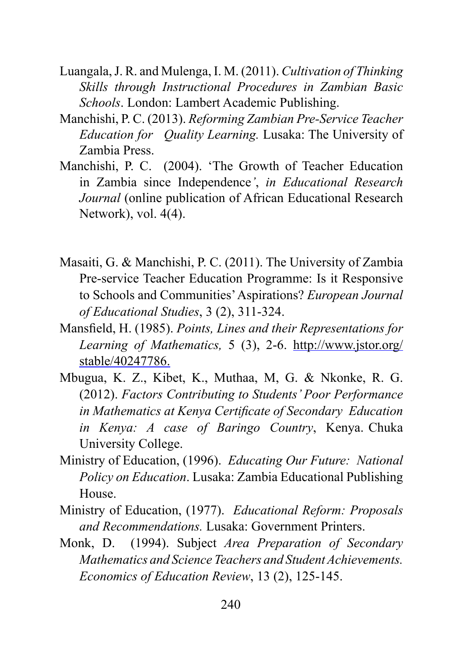- Luangala, J. R. and Mulenga, I. M. (2011). *Cultivation of Thinking Skills through Instructional Procedures in Zambian Basic Schools*. London: Lambert Academic Publishing.
- Manchishi, P. C. (2013). *Reforming Zambian Pre-Service Teacher Education for Quality Learning.* Lusaka: The University of Zambia Press.
- Manchishi, P. C. (2004). 'The Growth of Teacher Education in Zambia since Independence*'*, *in Educational Research Journal* (online publication of African Educational Research Network), vol. 4(4).
- Masaiti, G. & Manchishi, P. C. (2011). The University of Zambia Pre-service Teacher Education Programme: Is it Responsive to Schools and Communities' Aspirations? *European Journal of Educational Studies*, 3 (2), 311-324.
- Mansfield, H. (1985). *Points, Lines and their Representations for Learning of Mathematics,* 5 (3), 2-6. [http://www.jstor.org/](http://www.jstor.org/stable/40247786) [stable/40247786.](http://www.jstor.org/stable/40247786)
- Mbugua, K. Z., Kibet, K., Muthaa, M, G. & Nkonke, R. G. (2012). *Factors Contributing to Students' Poor Performance in Mathematics at Kenya Certificate of Secondary Education in Kenya: A case of Baringo Country*, Kenya. Chuka University College.
- Ministry of Education, (1996). *Educating Our Future: National Policy on Education*. Lusaka: Zambia Educational Publishing House.
- Ministry of Education, (1977). *Educational Reform: Proposals and Recommendations.* Lusaka: Government Printers.
- Monk, D. (1994). Subject *Area Preparation of Secondary Mathematics and Science Teachers and Student Achievements. Economics of Education Review*, 13 (2), 125-145.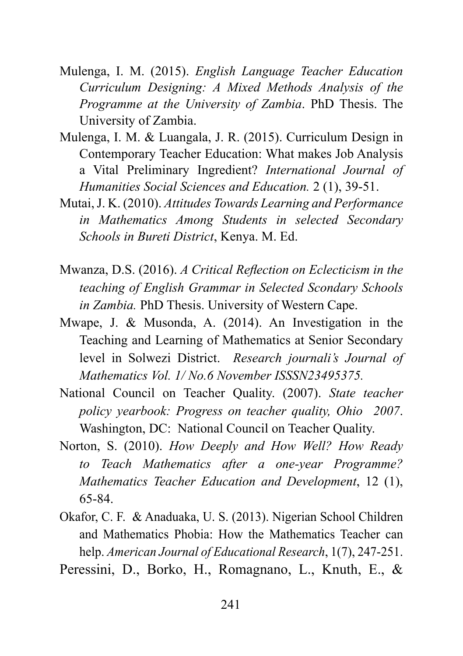- Mulenga, I. M. (2015). *English Language Teacher Education Curriculum Designing: A Mixed Methods Analysis of the Programme at the University of Zambia*. PhD Thesis. The University of Zambia.
- Mulenga, I. M. & Luangala, J. R. (2015). Curriculum Design in Contemporary Teacher Education: What makes Job Analysis a Vital Preliminary Ingredient? *International Journal of Humanities Social Sciences and Education.* 2 (1), 39-51.
- Mutai, J. K. (2010). *Attitudes Towards Learning and Performance in Mathematics Among Students in selected Secondary Schools in Bureti District*, Kenya. M. Ed.
- Mwanza, D.S. (2016). *A Critical Reflection on Eclecticism in the teaching of English Grammar in Selected Scondary Schools in Zambia.* PhD Thesis. University of Western Cape.
- Mwape, J. & Musonda, A. (2014). An Investigation in the Teaching and Learning of Mathematics at Senior Secondary level in Solwezi District. *Research journali's Journal of Mathematics Vol. 1/ No.6 November ISSSN23495375.*
- National Council on Teacher Quality. (2007). *State teacher policy yearbook: Progress on teacher quality, Ohio 2007*. Washington, DC: National Council on Teacher Quality.
- Norton, S. (2010). *How Deeply and How Well? How Ready to Teach Mathematics after a one-year Programme? Mathematics Teacher Education and Development*, 12 (1), 65-84.
- Okafor, C. F. & Anaduaka, U. S. (2013). Nigerian School Children and Mathematics Phobia: How the Mathematics Teacher can help. *American Journal of Educational Research*, 1(7), 247-251.

Peressini, D., Borko, H., Romagnano, L., Knuth, E., &